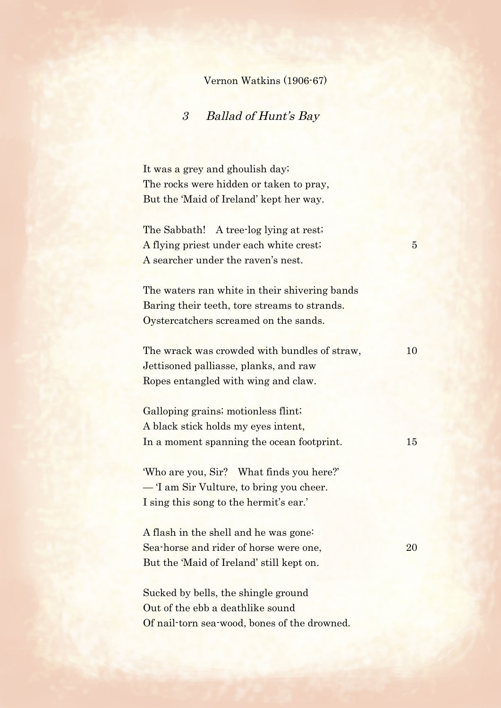## Vernon Watkins (1906-67)

## 3 Ballad of Hunt's Bay

It was a grey and ghoulish day; The rocks were hidden or taken to pray, But the 'Maid of Ireland' kept her way.

The Sabbath! A tree-log lying at rest; A flying priest under each white crest; 5 A searcher under the raven's nest.

The waters ran white in their shivering bands Baring their teeth, tore streams to strands. Oystercatchers screamed on the sands.

The wrack was crowded with bundles of straw, 10 Jettisoned palliasse, planks, and raw Ropes entangled with wing and claw.

Galloping grains; motionless flint; A black stick holds my eyes intent, In a moment spanning the ocean footprint. 15

'Who are you, Sir? What finds you here?' — 'I am Sir Vulture, to bring you cheer. I sing this song to the hermit's ear.'

A flash in the shell and he was gone: Sea-horse and rider of horse were one, 20 But the 'Maid of Ireland' still kept on.

Sucked by bells, the shingle ground Out of the ebb a deathlike sound Of nail-torn sea-wood, bones of the drowned.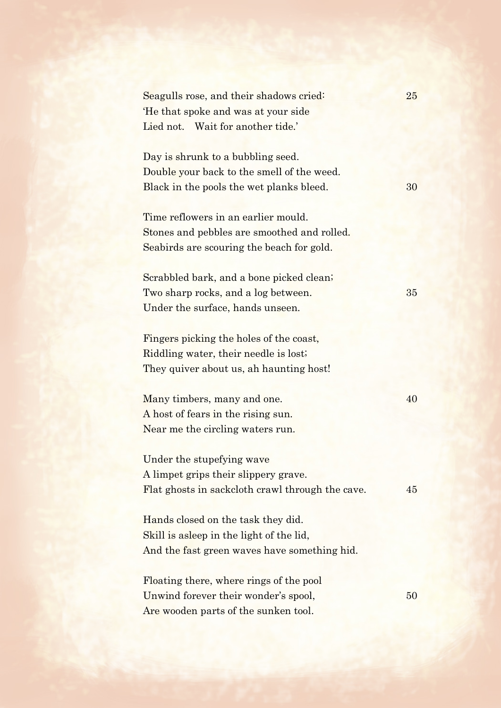| Seagulls rose, and their shadows cried:<br>He that spoke and was at your side<br>Lied not. Wait for another tide.'              | 25 |
|---------------------------------------------------------------------------------------------------------------------------------|----|
| Day is shrunk to a bubbling seed.<br>Double your back to the smell of the weed.<br>Black in the pools the wet planks bleed.     | 30 |
| Time reflowers in an earlier mould.<br>Stones and pebbles are smoothed and rolled.<br>Seabirds are scouring the beach for gold. |    |
| Scrabbled bark, and a bone picked clean;<br>Two sharp rocks, and a log between.<br>Under the surface, hands unseen.             | 35 |
| Fingers picking the holes of the coast,<br>Riddling water, their needle is lost;<br>They quiver about us, ah haunting host!     |    |
| Many timbers, many and one.<br>A host of fears in the rising sun.<br>Near me the circling waters run.                           | 40 |
| Under the stupefying wave<br>A limpet grips their slippery grave.<br>Flat ghosts in sackcloth crawl through the cave.           | 45 |
| Hands closed on the task they did.<br>Skill is asleep in the light of the lid,<br>And the fast green waves have something hid.  |    |
|                                                                                                                                 |    |

Floating there, where rings of the pool Unwind forever their wonder's spool, 50 Are wooden parts of the sunken tool.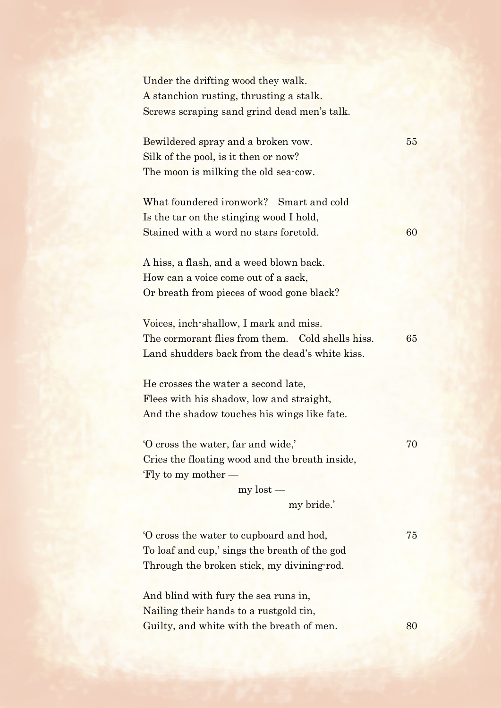Under the drifting wood they walk. A stanchion rusting, thrusting a stalk. Screws scraping sand grind dead men's talk.

Bewildered spray and a broken vow. 55 Silk of the pool, is it then or now? The moon is milking the old sea-cow.

What foundered ironwork? Smart and cold Is the tar on the stinging wood I hold, Stained with a word no stars foretold. 60

A hiss, a flash, and a weed blown back. How can a voice come out of a sack, Or breath from pieces of wood gone black?

Voices, inch-shallow, I mark and miss. The cormorant flies from them. Cold shells hiss. 65 Land shudders back from the dead's white kiss.

He crosses the water a second late, Flees with his shadow, low and straight, And the shadow touches his wings like fate.

'O cross the water, far and wide,' 70 Cries the floating wood and the breath inside, 'Fly to my mother —

> my lost my bride.'

'O cross the water to cupboard and hod, 75 To loaf and cup,' sings the breath of the god Through the broken stick, my divining-rod.

And blind with fury the sea runs in, Nailing their hands to a rustgold tin, Guilty, and white with the breath of men. 80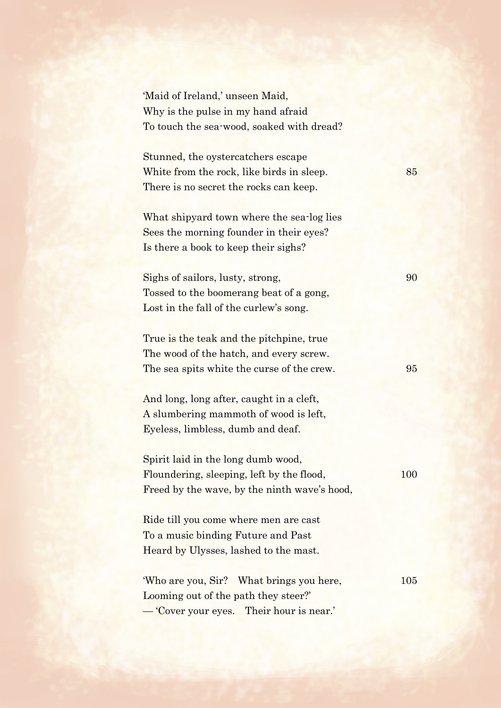| 'Maid of Ireland,' unseen Maid,              |     |
|----------------------------------------------|-----|
| Why is the pulse in my hand afraid           |     |
| To touch the sea-wood, soaked with dread?    |     |
|                                              |     |
| Stunned, the oystercatchers escape           |     |
| White from the rock, like birds in sleep.    | 85  |
| There is no secret the rocks can keep.       |     |
|                                              |     |
| What shipyard town where the sea-log lies    |     |
| Sees the morning founder in their eyes?      |     |
| Is there a book to keep their sighs?         |     |
|                                              |     |
| Sighs of sailors, lusty, strong,             | 90  |
| Tossed to the boomerang beat of a gong,      |     |
| Lost in the fall of the curlew's song.       |     |
|                                              |     |
| True is the teak and the pitchpine, true     |     |
| The wood of the hatch, and every screw.      |     |
| The sea spits white the curse of the crew.   | 95  |
|                                              |     |
| And long, long after, caught in a cleft,     |     |
| A slumbering mammoth of wood is left,        |     |
| Eyeless, limbless, dumb and deaf.            |     |
| Spirit laid in the long dumb wood,           |     |
| Floundering, sleeping, left by the flood,    | 100 |
| Freed by the wave, by the ninth wave's hood, |     |
|                                              |     |
| Ride till you come where men are cast        |     |
| To a music binding Future and Past           |     |
| Heard by Ulysses, lashed to the mast.        |     |
|                                              |     |
| 'Who are you, Sir? What brings you here,     | 105 |
| Looming out of the path they steer?          |     |
| - Cover your eyes. Their hour is near.'      |     |